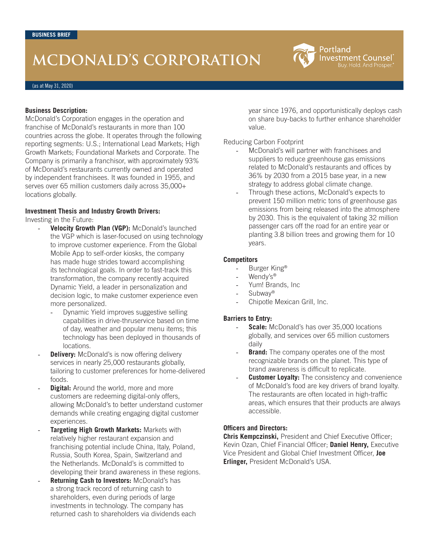# **MCDONALD'S CORPORATION**

(as at May 31, 2020)

#### **Business Description:**

McDonald's Corporation engages in the operation and franchise of McDonald's restaurants in more than 100 countries across the globe. It operates through the following reporting segments: U.S.; International Lead Markets; High Growth Markets; Foundational Markets and Corporate. The Company is primarily a franchisor, with approximately 93% of McDonald's restaurants currently owned and operated by independent franchisees. It was founded in 1955, and serves over 65 million customers daily across 35,000+ locations globally.

#### **Investment Thesis and Industry Growth Drivers:**

Investing in the Future:

- Velocity Growth Plan (VGP): McDonald's launched the VGP which is laser-focused on using technology to improve customer experience. From the Global Mobile App to self-order kiosks, the company has made huge strides toward accomplishing its technological goals. In order to fast-track this transformation, the company recently acquired Dynamic Yield, a leader in personalization and decision logic, to make customer experience even more personalized.
	- Dynamic Yield improves suggestive selling capabilities in drive-thruservice based on time of day, weather and popular menu items; this technology has been deployed in thousands of locations.
- **Delivery:** McDonald's is now offering delivery services in nearly 25,000 restaurants globally, tailoring to customer preferences for home-delivered foods.
- **Digital:** Around the world, more and more customers are redeeming digital-only offers, allowing McDonald's to better understand customer demands while creating engaging digital customer experiences.
- **Targeting High Growth Markets: Markets with** relatively higher restaurant expansion and franchising potential include China, Italy, Poland, Russia, South Korea, Spain, Switzerland and the Netherlands. McDonald's is committed to developing their brand awareness in these regions.
- Returning Cash to Investors: McDonald's has a strong track record of returning cash to shareholders, even during periods of large investments in technology. The company has returned cash to shareholders via dividends each

year since 1976, and opportunistically deploys cash on share buy-backs to further enhance shareholder value.

Portland

**Investment Counsel** uy. Hold. And Prosper

#### Reducing Carbon Footprint

- McDonald's will partner with franchisees and suppliers to reduce greenhouse gas emissions related to McDonald's restaurants and offices by 36% by 2030 from a 2015 base year, in a new strategy to address global climate change.
- Through these actions, McDonald's expects to prevent 150 million metric tons of greenhouse gas emissions from being released into the atmosphere by 2030. This is the equivalent of taking 32 million passenger cars off the road for an entire year or planting 3.8 billion trees and growing them for 10 years.

#### **Competitors**

- Burger King®
- Wendy's®
- Yum! Brands, Inc
- Subway<sup>®</sup>
- Chipotle Mexican Grill, Inc.

#### **Barriers to Entry:**

- **Scale:** McDonald's has over 35,000 locations globally, and services over 65 million customers daily
- **Brand:** The company operates one of the most recognizable brands on the planet. This type of brand awareness is difficult to replicate.
- **Customer Loyalty:** The consistency and convenience of McDonald's food are key drivers of brand loyalty. The restaurants are often located in high-traffic areas, which ensures that their products are always accessible.

### **Officers and Directors:**

**Chris Kempczinski,** President and Chief Executive Officer; Kevin Ozan, Chief Financial Officer; **Daniel Henry,** Executive Vice President and Global Chief Investment Officer, **Joe Erlinger,** President McDonald's USA.